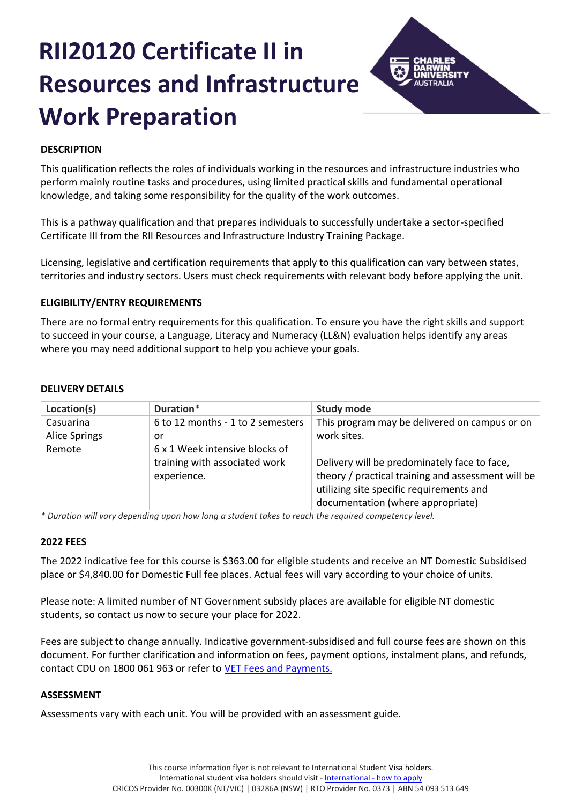# **RII20120 Certificate II in Resources and Infrastructure Work Preparation**



# **DESCRIPTION**

This qualification reflects the roles of individuals working in the resources and infrastructure industries who perform mainly routine tasks and procedures, using limited practical skills and fundamental operational knowledge, and taking some responsibility for the quality of the work outcomes.

This is a pathway qualification and that prepares individuals to successfully undertake a sector-specified Certificate III from the RII Resources and Infrastructure Industry Training Package.

Licensing, legislative and certification requirements that apply to this qualification can vary between states, territories and industry sectors. Users must check requirements with relevant body before applying the unit.

# **ELIGIBILITY/ENTRY REQUIREMENTS**

There are no formal entry requirements for this qualification. To ensure you have the right skills and support to succeed in your course, a Language, Literacy and Numeracy (LL&N) evaluation helps identify any areas where you may need additional support to help you achieve your goals.

# **DELIVERY DETAILS**

| Location(s)          | Duration*                         | <b>Study mode</b>                                  |
|----------------------|-----------------------------------|----------------------------------------------------|
| Casuarina            | 6 to 12 months - 1 to 2 semesters | This program may be delivered on campus or on      |
| <b>Alice Springs</b> | or                                | work sites.                                        |
| Remote               | 6 x 1 Week intensive blocks of    |                                                    |
|                      | training with associated work     | Delivery will be predominately face to face,       |
|                      | experience.                       | theory / practical training and assessment will be |
|                      |                                   | utilizing site specific requirements and           |
|                      |                                   | documentation (where appropriate)                  |

*\* Duration will vary depending upon how long a student takes to reach the required competency level.*

# **2022 FEES**

The 2022 indicative fee for this course is \$363.00 for eligible students and receive an NT Domestic Subsidised place or \$4,840.00 for Domestic Full fee places. Actual fees will vary according to your choice of units.

Please note: A limited number of NT Government subsidy places are available for eligible NT domestic students, so contact us now to secure your place for 2022.

Fees are subject to change annually. Indicative government-subsidised and full course fees are shown on this document. For further clarification and information on fees, payment options, instalment plans, and refunds, contact CDU on 1800 061 963 or refer to [VET Fees and Payments.](https://www.cdu.edu.au/current-students/student-admin/fees-payments)

# **ASSESSMENT**

Assessments vary with each unit. You will be provided with an assessment guide.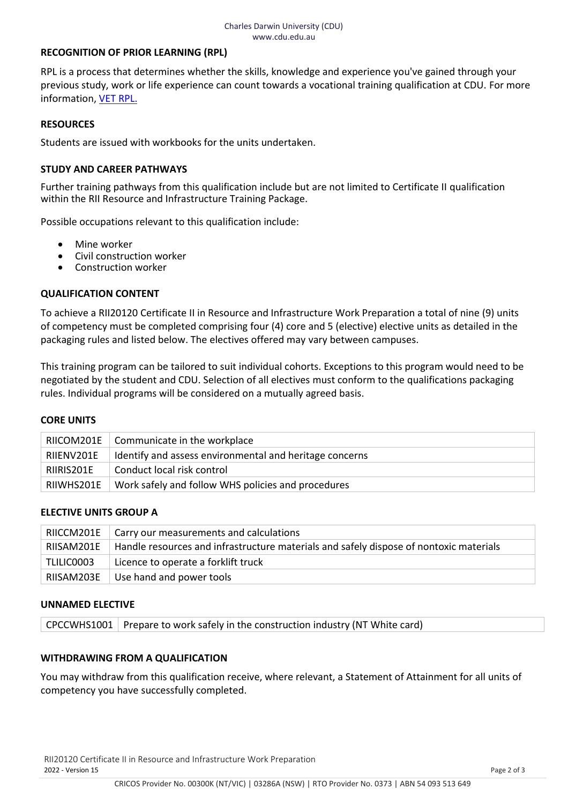## **RECOGNITION OF PRIOR LEARNING (RPL)**

RPL is a process that determines whether the skills, knowledge and experience you've gained through your previous study, work or life experience can count towards a vocational training qualification at CDU. For more information, [VET RPL.](https://www.cdu.edu.au/study/vocational-education-training/rpl)

#### **RESOURCES**

Students are issued with workbooks for the units undertaken.

#### **STUDY AND CAREER PATHWAYS**

Further training pathways from this qualification include but are not limited to Certificate II qualification within the RII Resource and Infrastructure Training Package.

Possible occupations relevant to this qualification include:

- Mine worker
- Civil construction worker
- Construction worker

# **QUALIFICATION CONTENT**

To achieve a RII20120 Certificate II in Resource and Infrastructure Work Preparation a total of nine (9) units of competency must be completed comprising four (4) core and 5 (elective) elective units as detailed in the packaging rules and listed below. The electives offered may vary between campuses.

This training program can be tailored to suit individual cohorts. Exceptions to this program would need to be negotiated by the student and CDU. Selection of all electives must conform to the qualifications packaging rules. Individual programs will be considered on a mutually agreed basis.

#### **CORE UNITS**

| RIICOM201E | Communicate in the workplace                            |
|------------|---------------------------------------------------------|
| RIIENV201E | Identify and assess environmental and heritage concerns |
| RIIRIS201E | Conduct local risk control                              |
| RIIWHS201E | Work safely and follow WHS policies and procedures      |

#### **ELECTIVE UNITS GROUP A**

| RIICCM201E | Carry our measurements and calculations                                                |
|------------|----------------------------------------------------------------------------------------|
| RIISAM201E | Handle resources and infrastructure materials and safely dispose of nontoxic materials |
| TLILIC0003 | Licence to operate a forklift truck                                                    |
| RIISAM203E | Use hand and power tools                                                               |

## **UNNAMED ELECTIVE**

CPCCWHS1001 Prepare to work safely in the construction industry (NT White card)

# **WITHDRAWING FROM A QUALIFICATION**

You may withdraw from this qualification receive, where relevant, a Statement of Attainment for all units of competency you have successfully completed.